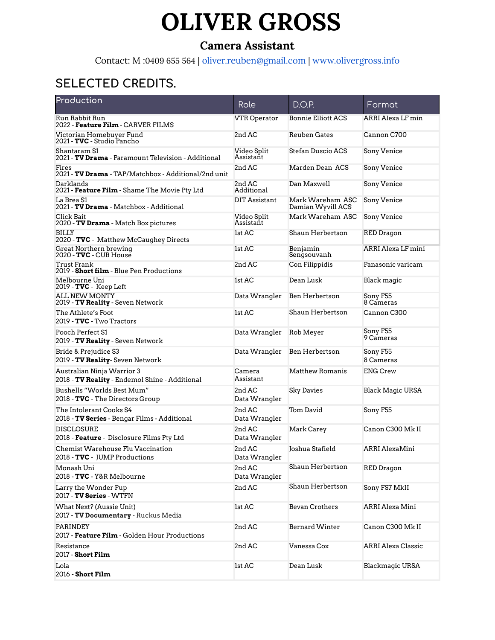# **OLIVER GROSS**

#### **Camera Assistant**

Contact: M :0409 655 564 | [oliver.reuben@gmail.com](mailto:oliver.reuben@gmail.com) | [www.olivergross.info](http://www.olivergross.info)

## **SELECTED CREDITS.**

| Production                                                                 | Role                     | D.O.P.                                | Format                    |
|----------------------------------------------------------------------------|--------------------------|---------------------------------------|---------------------------|
| Run Rabbit Run<br><b>2022 - Feature Film -</b> CARVER FILMS                | <b>VTR Operator</b>      | <b>Bonnie Elliott ACS</b>             | ARRI Alexa LF min         |
| Victorian Homebuyer Fund<br>2021 - <b>TVC</b> - Studio Pancho              | 2nd AC                   | Reuben Gates                          | Cannon C700               |
| Shantaram S1<br>2021 - <b>TV Drama</b> - Paramount Television - Additional | Video Split<br>Assistant | Stefan Duscio ACS                     | Sony Venice               |
| Fires<br>2021 - <b>TV Drama</b> - TAP/Matchbox - Additional/2nd unit       | 2nd AC                   | Marden Dean ACS                       | Sony Venice               |
| Darklands<br>2021 - Feature Film - Shame The Movie Pty Ltd                 | 2nd AC<br>Additional     | Dan Maxwell                           | Sony Venice               |
| La Brea S1<br>2021 - TV Drama - Matchbox - Additional                      | <b>DIT</b> Assistant     | Mark Wareham ASC<br>Damian Wyvill ACS | Sony Venice               |
| Click Bait<br>2020 - TV Drama - Match Box pictures                         | Video Split<br>Assistant | Mark Wareham ASC                      | Sony Venice               |
| <b>BILLY</b><br>2020 - TVC - Matthew McCaughey Directs                     | 1st AC                   | Shaun Herbertson                      | RED Dragon                |
| Great Northern brewing<br>2020 - TVC - CUB House                           | 1st AC                   | Benjamin<br>Sengsouvanh               | ARRI Alexa LF mini        |
| Trust Frank<br>2019 - <b>Short film</b> - Blue Pen Productions             | 2nd AC                   | Con Filippidis                        | Panasonic varicam         |
| Melbourne Uni<br>2019 - TVC - Keep Left                                    | 1st AC                   | Dean Lusk                             | Black magic               |
| ALL NEW MONTY<br>2019 - TV Reality - Seven Network                         | Data Wrangler            | Ben Herbertson                        | Sony F55<br>8 Cameras     |
| The Athlete's Foot<br>2019 - TVC - Two Tractors                            | 1st AC                   | Shaun Herbertson                      | Cannon C300               |
| Pooch Perfect S1<br>2019 - TV Reality - Seven Network                      | Data Wrangler            | Rob Meyer                             | Sony F55<br>9 Cameras     |
| Bride & Prejudice S3<br>2019 - TV Reality- Seven Network                   | Data Wrangler            | Ben Herbertson                        | Sony F55<br>8 Cameras     |
| Australian Ninja Warrior 3                                                 | Camera                   | <b>Matthew Romanis</b>                | <b>ENG Crew</b>           |
| 2018 - TV Reality - Endemol Shine - Additional                             | Assistant                |                                       |                           |
| Bushells "Worlds Best Mum"<br>2018 - TVC - The Directors Group             | 2nd AC<br>Data Wrangler  | <b>Sky Davies</b>                     | <b>Black Magic URSA</b>   |
| The Intolerant Cooks S4<br>2018 - TV Series - Bengar Films - Additional    | 2nd AC<br>Data Wrangler  | Tom David                             | Sony F55                  |
| <b>DISCLOSURE</b><br>2018 - Feature - Disclosure Films Pty Ltd             | 2nd AC<br>Data Wrangler  | Mark Carey                            | Canon C300 Mk II          |
| Chemist Warehouse Flu Vaccination<br>2018 - TVC - JUMP Productions         | 2nd AC<br>Data Wrangler  | Joshua Stafield                       | ARRI AlexaMini            |
| Monash Uni<br>2018 - TVC - Y&R Melbourne                                   | 2nd AC<br>Data Wrangler  | Shaun Herbertson                      | <b>RED Dragon</b>         |
| Larry the Wonder Pup<br>2017 - <b>TV Series</b> - WTFN                     | 2nd AC                   | Shaun Herbertson                      | Sony FS7 MkII             |
| What Next? (Aussie Unit)<br>2017 - TV Documentary - Ruckus Media           | 1st AC                   | <b>Bevan Crothers</b>                 | ARRI Alexa Mini           |
| PARINDEY<br>2017 - Feature Film - Golden Hour Productions                  | 2nd AC                   | <b>Bernard Winter</b>                 | Canon C300 Mk II          |
| Resistance<br>2017 - <b>Short Film</b>                                     | 2nd AC                   | Vanessa Cox                           | <b>ARRI Alexa Classic</b> |
| Lola<br>2016 - Short Film                                                  | 1st AC                   | Dean Lusk                             | <b>Blackmagic URSA</b>    |